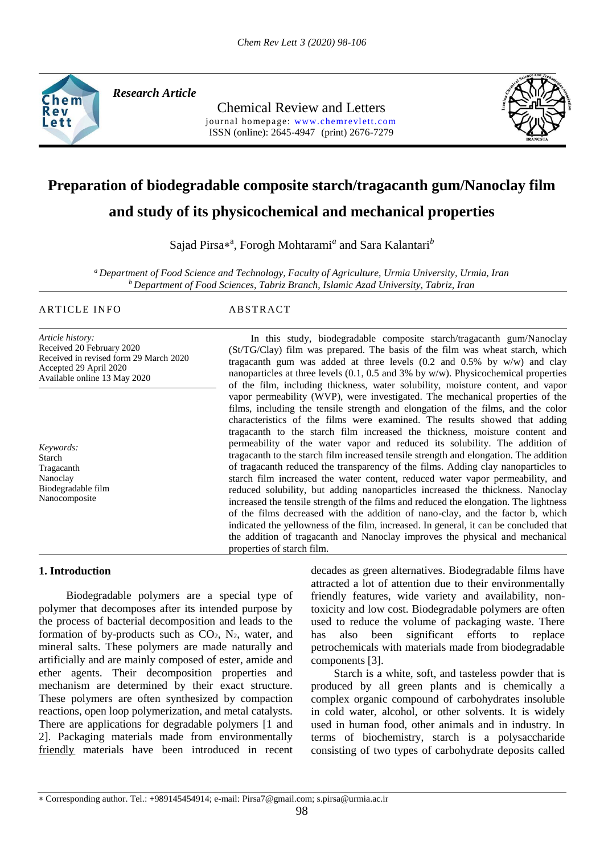

*Research Article* 

Chemical Review and Letters journal homepage: www.chemrevlett.com ISSN (online): 2645-4947(print) 2676-7279



# **Preparation of biodegradable composite starch/tragacanth gum/Nanoclay film**

# **and study of its physicochemical and mechanical properties**

Sajad Pirsa\*<sup>a</sup>, Forogh Mohtarami<sup>a</sup> and Sara Kalantari<sup>b</sup>

*<sup>a</sup>Department of Food Science and Technology, Faculty of Agriculture, Urmia University, Urmia, Iran <sup>b</sup>Department of Food Sciences, Tabriz Branch, Islamic Azad University, Tabriz, Iran*

#### ARTICLE INFO ABSTRACT

*Article history:* Received 20 February 2020 Received in revised form 29 March 2020 Accepted 29 April 2020 Available online 13 May 2020

*Keywords:* Starch Tragacanth Nanoclay Biodegradable film Nanocomposite

(St/TG/Clay) film was prepared. The basis of the film was wheat starch, which tragacanth gum was added at three levels  $(0.2 \text{ and } 0.5\% \text{ by } w/w)$  and clay nanoparticles at three levels  $(0.1, 0.5, \text{ and } 3\%$  by w/w). Physicochemical properties of the film, including thickness, water solubility, moisture content, and vapor vapor permeability (WVP), were investigated. The mechanical properties of the films, including the tensile strength and elongation of the films, and the color characteristics of the films were examined. The results showed that adding tragacanth to the starch film increased the thickness, moisture content and permeability of the water vapor and reduced its solubility. The addition of tragacanth to the starch film increased tensile strength and elongation. The addition of tragacanth reduced the transparency of the films. Adding clay nanoparticles to starch film increased the water content, reduced water vapor permeability, and reduced solubility, but adding nanoparticles increased the thickness. Nanoclay increased the tensile strength of the films and reduced the elongation. The lightness of the films decreased with the addition of nano-clay, and the factor b, which indicated the yellowness of the film, increased. In general, it can be concluded that the addition of tragacanth and Nanoclay improves the physical and mechanical properties of starch film.

In this study, biodegradable composite starch/tragacanth gum/Nanoclay

### **1. Introduction**

friendly materials have been introduced in recent Biodegradable polymers are a special type of polymer that decomposes after its intended purpose by the process of bacterial decomposition and leads to the formation of by-products such as  $CO<sub>2</sub>$ ,  $N<sub>2</sub>$ , water, and mineral salts. These polymers are made naturally and artificially and are mainly composed of ester, amide and ether agents. Their decomposition properties and mechanism are determined by their exact structure. These polymers are often synthesized by compaction reactions, open loop polymerization, and metal catalysts. There are applications for degradable polymers [1 and 2]. Packaging materials made from environmentally

decades as green alternatives. Biodegradable films have attracted a lot of attention due to their environmentally friendly features, wide variety and availability, nontoxicity and low cost. Biodegradable polymers are often used to reduce the volume of packaging waste. There has also been significant efforts to replace petrochemicals with materials made from biodegradable components [3].

Starch is a white, soft, and tasteless powder that is produced by all green plants and is chemically a complex organic compound of carbohydrates insoluble in cold water, alcohol, or other solvents. It is widely used in human food, other animals and in industry. In terms of biochemistry, starch is a polysaccharide consisting of two types of carbohydrate deposits called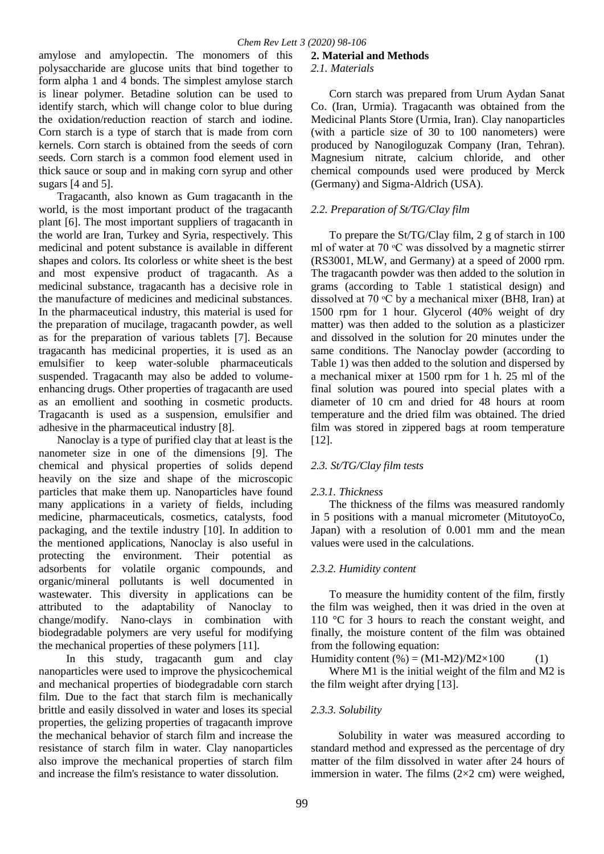amylose and amylopectin. The monomers of this polysaccharide are glucose units that bind together to form alpha 1 and 4 bonds. The simplest amylose starch is linear polymer. Betadine solution can be used to identify starch, which will change color to blue during the oxidation/reduction reaction of starch and iodine. Corn starch is a type of starch that is made from corn kernels. Corn starch is obtained from the seeds of corn seeds. Corn starch is a common food element used in thick sauce or soup and in making corn syrup and other sugars [4 and 5].

Tragacanth, also known as Gum tragacanth in the world, is the most important product of the tragacanth plant [6]. The most important suppliers of tragacanth in the world are Iran, Turkey and Syria, respectively. This medicinal and potent substance is available in different shapes and colors. Its colorless or white sheet is the best and most expensive product of tragacanth. As a medicinal substance, tragacanth has a decisive role in the manufacture of medicines and medicinal substances. In the pharmaceutical industry, this material is used for the preparation of mucilage, tragacanth powder, as well as for the preparation of various tablets [7]. Because tragacanth has medicinal properties, it is used as an emulsifier to keep water-soluble pharmaceuticals suspended. Tragacanth may also be added to volumeenhancing drugs. Other properties of tragacanth are used as an emollient and soothing in cosmetic products. Tragacanth is used as a suspension, emulsifier and adhesive in the pharmaceutical industry [8].

Nanoclay is a type of purified clay that at least is the nanometer size in one of the dimensions [9]. The chemical and physical properties of solids depend heavily on the size and shape of the microscopic particles that make them up. Nanoparticles have found many applications in a variety of fields, including medicine, pharmaceuticals, cosmetics, catalysts, food packaging, and the textile industry [10]. In addition to the mentioned applications, Nanoclay is also useful in protecting the environment. Their potential as adsorbents for volatile organic compounds, and organic/mineral pollutants is well documented in wastewater. This diversity in applications can be attributed to the adaptability of Nanoclay to change/modify. Nano-clays in combination with biodegradable polymers are very useful for modifying the mechanical properties of these polymers [11].

In this study, tragacanth gum and clay nanoparticles were used to improve the physicochemical and mechanical properties of biodegradable corn starch film. Due to the fact that starch film is mechanically brittle and easily dissolved in water and loses its special properties, the gelizing properties of tragacanth improve the mechanical behavior of starch film and increase the resistance of starch film in water. Clay nanoparticles also improve the mechanical properties of starch film and increase the film's resistance to water dissolution.

# **2. Material and Methods**

### *2.1. Materials*

Corn starch was prepared from Urum Aydan Sanat Co. (Iran, Urmia). Tragacanth was obtained from the Medicinal Plants Store (Urmia, Iran). Clay nanoparticles (with a particle size of 30 to 100 nanometers) were produced by Nanogiloguzak Company (Iran, Tehran). Magnesium nitrate, calcium chloride, and other chemical compounds used were produced by Merck (Germany) and Sigma-Aldrich (USA).

# *2.2. Preparation of St/TG/Clay film*

To prepare the St/TG/Clay film, 2 g of starch in 100 ml of water at  $70 \text{ °C}$  was dissolved by a magnetic stirrer (RS3001, MLW, and Germany) at a speed of 2000 rpm. The tragacanth powder was then added to the solution in grams (according to Table 1 statistical design) and dissolved at 70  $\rm{^{\circ}C}$  by a mechanical mixer (BH8, Iran) at 1500 rpm for 1 hour. Glycerol (40% weight of dry matter) was then added to the solution as a plasticizer and dissolved in the solution for 20 minutes under the same conditions. The Nanoclay powder (according to Table 1) was then added to the solution and dispersed by a mechanical mixer at 1500 rpm for 1 h. 25 ml of the final solution was poured into special plates with a diameter of 10 cm and dried for 48 hours at room temperature and the dried film was obtained. The dried film was stored in zippered bags at room temperature [12].

# *2.3. St/TG/Clay film tests*

# *2.3.1. Thickness*

The thickness of the films was measured randomly in 5 positions with a manual micrometer (MitutoyoCo, Japan) with a resolution of 0.001 mm and the mean values were used in the calculations.

# *2.3.2. Humidity content*

To measure the humidity content of the film, firstly the film was weighed, then it was dried in the oven at 110 °C for 3 hours to reach the constant weight, and finally, the moisture content of the film was obtained from the following equation:

Humidity content  $(\%) = (M1-M2)/M2 \times 100$  (1)

Where M1 is the initial weight of the film and M2 is the film weight after drying [13].

# *2.3.3. Solubility*

Solubility in water was measured according to standard method and expressed as the percentage of dry matter of the film dissolved in water after 24 hours of immersion in water. The films  $(2\times2$  cm) were weighed,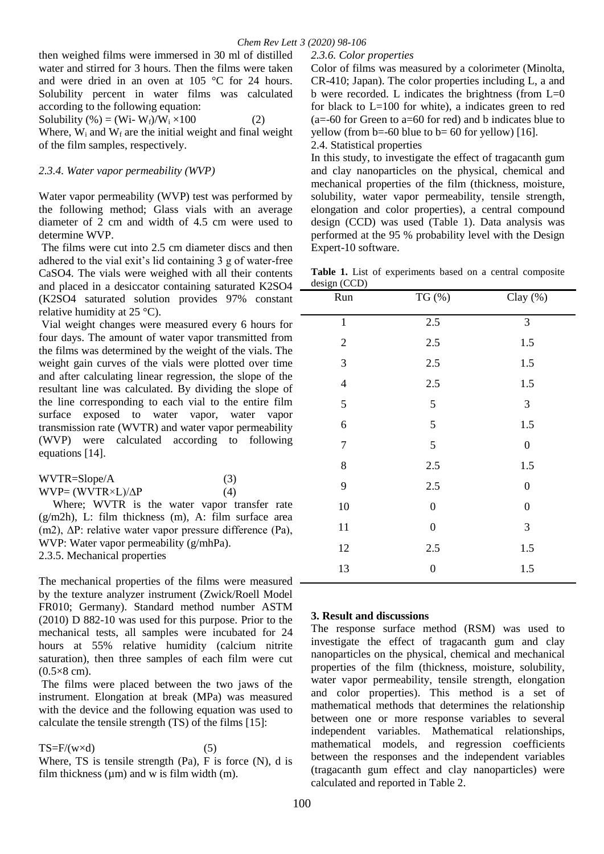then weighed films were immersed in 30 ml of distilled water and stirred for 3 hours. Then the films were taken and were dried in an oven at 105 °C for 24 hours. Solubility percent in water films was calculated according to the following equation: Solubility (%) = (Wi- W<sub>f</sub>)/W<sub>i</sub> × 100 (2) Where,  $W_i$  and  $W_f$  are the initial weight and final weight

of the film samples, respectively.

#### *2.3.4. Water vapor permeability (WVP)*

Water vapor permeability (WVP) test was performed by the following method; Glass vials with an average diameter of 2 cm and width of 4.5 cm were used to determine WVP.

The films were cut into 2.5 cm diameter discs and then adhered to the vial exit's lid containing 3 g of water-free CaSO4. The vials were weighed with all their contents and placed in a desiccator containing saturated K2SO4 (K2SO4 saturated solution provides 97% constant relative humidity at 25 °C).

Vial weight changes were measured every 6 hours for four days. The amount of water vapor transmitted from the films was determined by the weight of the vials. The weight gain curves of the vials were plotted over time and after calculating linear regression, the slope of the resultant line was calculated. By dividing the slope of the line corresponding to each vial to the entire film surface exposed to water vapor, water vapor transmission rate (WVTR) and water vapor permeability (WVP) were calculated according to following equations [14].

| WVTR=Slope/A                     | (3) |
|----------------------------------|-----|
| $WVP = (WVTR \times L)/\Delta P$ | (4) |

 Where; WVTR is the water vapor transfer rate  $(g/m2h)$ , L: film thickness  $(m)$ , A: film surface area (m2), ΔP: relative water vapor pressure difference (Pa), WVP: Water vapor permeability (g/mhPa). 2.3.5. Mechanical properties

The mechanical properties of the films were measured by the texture analyzer instrument (Zwick/Roell Model FR010; Germany). Standard method number ASTM (2010) D 882-10 was used for this purpose. Prior to the mechanical tests, all samples were incubated for 24 hours at 55% relative humidity (calcium nitrite saturation), then three samples of each film were cut  $(0.5\times8$  cm).

The films were placed between the two jaws of the instrument. Elongation at break (MPa) was measured with the device and the following equation was used to calculate the tensile strength (TS) of the films [15]:

 $TS=F/(w \times d)$  (5) Where, TS is tensile strength  $(Pa)$ , F is force  $(N)$ , d is film thickness ( $\mu$ m) and w is film width (m).

*2.3.6. Color properties* 

Color of films was measured by a colorimeter (Minolta, CR-410; Japan). The color properties including L, a and b were recorded. L indicates the brightness (from L=0 for black to  $L=100$  for white), a indicates green to red  $(a=60)$  for Green to  $a=60$  for red) and b indicates blue to yellow (from  $b = -60$  blue to  $b = 60$  for yellow) [16].

2.4. Statistical properties

In this study, to investigate the effect of tragacanth gum and clay nanoparticles on the physical, chemical and mechanical properties of the film (thickness, moisture, solubility, water vapor permeability, tensile strength, elongation and color properties), a central compound design (CCD) was used (Table 1). Data analysis was performed at the 95 % probability level with the Design Expert-10 software.

Table 1. List of experiments based on a central composite design (CCD)

| Run                     | TG (%)           | Clay $(\%)$      |
|-------------------------|------------------|------------------|
| $\mathbf 1$             | $2.5\,$          | 3                |
| $\sqrt{2}$              | 2.5              | 1.5              |
| $\mathfrak{Z}$          | 2.5              | 1.5              |
| $\overline{\mathbf{4}}$ | 2.5              | 1.5              |
| 5                       | 5                | 3                |
| 6                       | 5                | 1.5              |
| $\overline{7}$          | 5                | $\boldsymbol{0}$ |
| $\,8$                   | $2.5$            | 1.5              |
| 9                       | 2.5              | $\boldsymbol{0}$ |
| 10                      | $\boldsymbol{0}$ | $\boldsymbol{0}$ |
| 11                      | $\boldsymbol{0}$ | 3                |
| 12                      | 2.5              | 1.5              |
| 13                      | $\boldsymbol{0}$ | 1.5              |

#### **3. Result and discussions**

The response surface method (RSM) was used to investigate the effect of tragacanth gum and clay nanoparticles on the physical, chemical and mechanical properties of the film (thickness, moisture, solubility, water vapor permeability, tensile strength, elongation and color properties). This method is a set of mathematical methods that determines the relationship between one or more response variables to several independent variables. Mathematical relationships, mathematical models, and regression coefficients between the responses and the independent variables (tragacanth gum effect and clay nanoparticles) were calculated and reported in Table 2.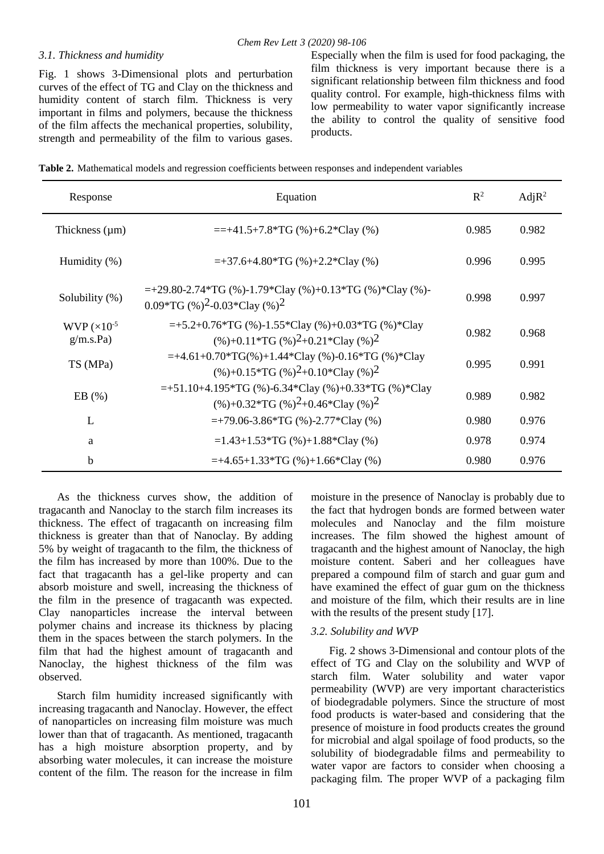### *3.1. Thickness and humidity*

Fig. 1 shows 3-Dimensional plots and perturbation curves of the effect of TG and Clay on the thickness and humidity content of starch film. Thickness is very important in films and polymers, because the thickness of the film affects the mechanical properties, solubility, strength and permeability of the film to various gases. Especially when the film is used for food packaging, the film thickness is very important because there is a significant relationship between film thickness and food quality control. For example, high-thickness films with low permeability to water vapor significantly increase the ability to control the quality of sensitive food products.

| Table 2. Mathematical models and regression coefficients between responses and independent variables |  |  |
|------------------------------------------------------------------------------------------------------|--|--|
|                                                                                                      |  |  |

| Response                           | Equation                                                                                                                    |       | Adj R <sup>2</sup> |
|------------------------------------|-----------------------------------------------------------------------------------------------------------------------------|-------|--------------------|
| Thickness $(\mu m)$                | $=+41.5+7.8*TG$ (%)+6.2*Clay (%)                                                                                            | 0.985 | 0.982              |
| Humidity $(\%)$                    | $=+37.6+4.80*TG$ (%)+2.2*Clay (%)                                                                                           | 0.996 | 0.995              |
| Solubility (%)                     | $=+29.80-2.74*TG$ (%)-1.79*Clay (%)+0.13*TG (%)*Clay (%)-<br>0.09*TG $(\%)^2$ -0.03*Clay $(\%)^2$                           | 0.998 | 0.997              |
| WVP $(\times 10^{-5}$<br>g/m.s.Pa) | $=+5.2+0.76*TG$ (%)-1.55*Clay (%)+0.03*TG (%)*Clay<br>$(\%)+0.11*\text{TG}$ (%) <sup>2</sup> +0.21*Clay (%) <sup>2</sup>    | 0.982 | 0.968              |
| TS (MPa)                           | $=+4.61+0.70*TG(\%)+1.44*Clay(\%)-0.16*TG(\%)*Clay$<br>$(\%)+0.15*\text{TG}$ (%) <sup>2</sup> +0.10*Clay (%) <sup>2</sup>   | 0.995 | 0.991              |
| EB(%)                              | $=+51.10+4.195*TG$ (%)-6.34*Clay (%)+0.33*TG (%)*Clay<br>$(\%)+0.32*\text{TG}$ (%) <sup>2</sup> +0.46*Clay (%) <sup>2</sup> | 0.989 | 0.982              |
| L                                  | $=+79.06-3.86*TG$ (%)-2.77*Clay (%)                                                                                         | 0.980 | 0.976              |
| a                                  | $=1.43+1.53*TG$ (%)+1.88*Clay (%)                                                                                           | 0.978 | 0.974              |
| $\mathbf b$                        | $=+4.65+1.33*TG$ (%)+1.66*Clay (%)                                                                                          | 0.980 | 0.976              |

As the thickness curves show, the addition of tragacanth and Nanoclay to the starch film increases its thickness. The effect of tragacanth on increasing film thickness is greater than that of Nanoclay. By adding 5% by weight of tragacanth to the film, the thickness of the film has increased by more than 100%. Due to the fact that tragacanth has a gel-like property and can absorb moisture and swell, increasing the thickness of the film in the presence of tragacanth was expected. Clay nanoparticles increase the interval between polymer chains and increase its thickness by placing them in the spaces between the starch polymers. In the film that had the highest amount of tragacanth and Nanoclay, the highest thickness of the film was observed.

Starch film humidity increased significantly with increasing tragacanth and Nanoclay. However, the effect of nanoparticles on increasing film moisture was much lower than that of tragacanth. As mentioned, tragacanth has a high moisture absorption property, and by absorbing water molecules, it can increase the moisture content of the film. The reason for the increase in film moisture in the presence of Nanoclay is probably due to the fact that hydrogen bonds are formed between water molecules and Nanoclay and the film moisture increases. The film showed the highest amount of tragacanth and the highest amount of Nanoclay, the high moisture content. Saberi and her colleagues have prepared a compound film of starch and guar gum and have examined the effect of guar gum on the thickness and moisture of the film, which their results are in line with the results of the present study [17].

### *3.2. Solubility and WVP*

Fig. 2 shows 3-Dimensional and contour plots of the effect of TG and Clay on the solubility and WVP of starch film. Water solubility and water vapor permeability (WVP) are very important characteristics of biodegradable polymers. Since the structure of most food products is water-based and considering that the presence of moisture in food products creates the ground for microbial and algal spoilage of food products, so the solubility of biodegradable films and permeability to water vapor are factors to consider when choosing a packaging film. The proper WVP of a packaging film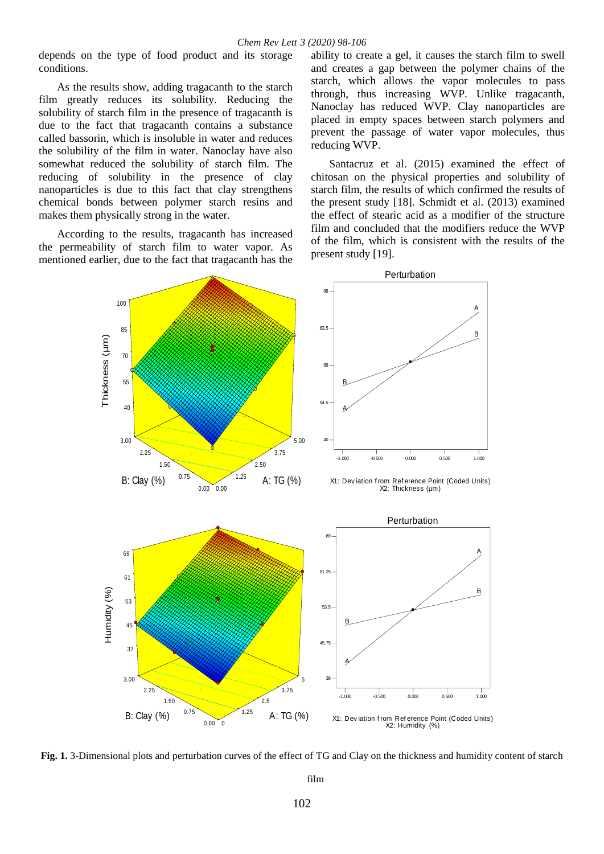depends on the type of food product and its storage conditions.

As the results show, adding tragacanth to the starch film greatly reduces its solubility. Reducing the solubility of starch film in the presence of tragacanth is due to the fact that tragacanth contains a substance called bassorin, which is insoluble in water and reduces the solubility of the film in water. Nanoclay have also somewhat reduced the solubility of starch film. The reducing of solubility in the presence of clay nanoparticles is due to this fact that clay strengthens chemical bonds between polymer starch resins and makes them physically strong in the water.

According to the results, tragacanth has increased the permeability of starch film to water vapor. As mentioned earlier, due to the fact that tragacanth has the

ability to create a gel, it causes the starch film to swell and creates a gap between the polymer chains of the starch, which allows the vapor molecules to pass through, thus increasing WVP. Unlike tragacanth, Nanoclay has reduced WVP. Clay nanoparticles are placed in empty spaces between starch polymers and prevent the passage of water vapor molecules, thus reducing WVP.

Santacruz et al. (2015) examined the effect of chitosan on the physical properties and solubility of starch film, the results of which confirmed the results of the present study [18]. Schmidt et al. (2013) examined the effect of stearic acid as a modifier of the structure film and concluded that the modifiers reduce the WVP of the film, which is consistent with the results of the present study [19].



**Fig. 1.** 3-Dimensional plots and perturbation curves of the effect of TG and Clay on the thickness and humidity content of starch

film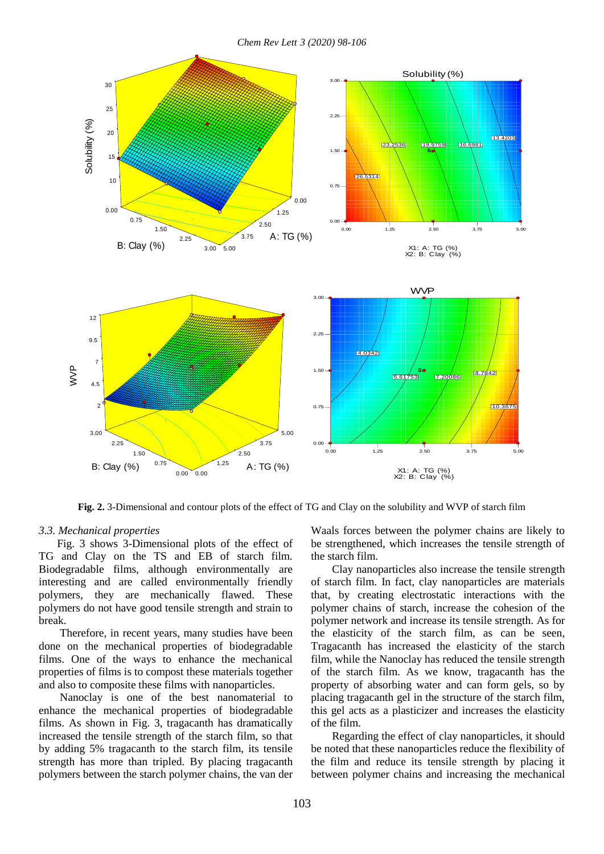

**Fig. 2.** 3-Dimensional and contour plots of the effect of TG and Clay on the solubility and WVP of starch film

#### *3.3. Mechanical properties*

Fig. 3 shows 3-Dimensional plots of the effect of TG and Clay on the TS and EB of starch film. Biodegradable films, although environmentally are interesting and are called environmentally friendly polymers, they are mechanically flawed. These polymers do not have good tensile strength and strain to break.

Therefore, in recent years, many studies have been done on the mechanical properties of biodegradable films. One of the ways to enhance the mechanical properties of films is to compost these materials together and also to composite these films with nanoparticles.

Nanoclay is one of the best nanomaterial to enhance the mechanical properties of biodegradable films. As shown in Fig. 3, tragacanth has dramatically increased the tensile strength of the starch film, so that by adding 5% tragacanth to the starch film, its tensile strength has more than tripled. By placing tragacanth polymers between the starch polymer chains, the van der

Waals forces between the polymer chains are likely to be strengthened, which increases the tensile strength of the starch film.

Clay nanoparticles also increase the tensile strength of starch film. In fact, clay nanoparticles are materials that, by creating electrostatic interactions with the polymer chains of starch, increase the cohesion of the polymer network and increase its tensile strength. As for the elasticity of the starch film, as can be seen, Tragacanth has increased the elasticity of the starch film, while the Nanoclay has reduced the tensile strength of the starch film. As we know, tragacanth has the property of absorbing water and can form gels, so by placing tragacanth gel in the structure of the starch film, this gel acts as a plasticizer and increases the elasticity of the film.

Regarding the effect of clay nanoparticles, it should be noted that these nanoparticles reduce the flexibility of the film and reduce its tensile strength by placing it between polymer chains and increasing the mechanical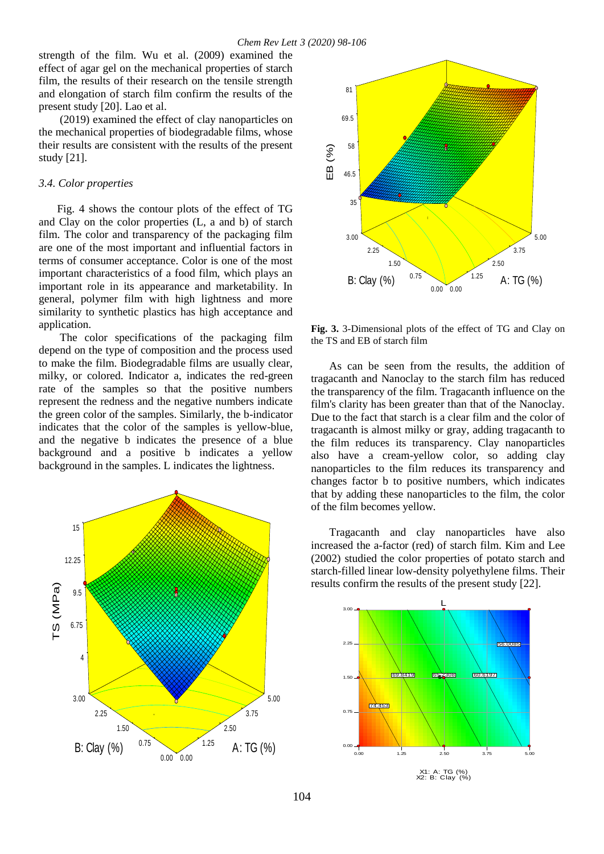strength of the film. Wu et al. (2009) examined the effect of agar gel on the mechanical properties of starch Film, the results of their research on the tensile strength and elongation of starch film confirm the results of the present study [20]. Lao et al.

(2019) examined the effect of clay nanoparticles on the mechanical properties of biodegradable films, whose their results are consistent with the results of the present study [21].

#### *3.4. Color properties*

Fig. 4 shows the contour plots of the effect of TG and Clay on the color properties (L, a and b) of starch film. The color and transparency of the packaging film are one of the most important and influential factors in terms of consumer acceptance. Color is one of the most important characteristics of a food film, which plays an important role in its appearance and marketability. In general, polymer film with high lightness and more similarity to synthetic plastics has high acceptance and application.

The color specifications of the packaging film depend on the type of composition and the process used to make the film. Biodegradable films are usually clear, milky, or colored. Indicator a, indicates the red-green rate of the samples so that the positive numbers represent the redness and the negative numbers indicate the green color of the samples. Similarly, the b-indicator indicates that the color of the samples is yellow-blue, and the negative b indicates the presence of a blue background and a positive b indicates a yellow background in the samples. L indicates the lightness.





**Fig. 3.** 3-Dimensional plots of the effect of TG and Clay on the TS and EB of starch film

As can be seen from the results, the addition of tragacanth and Nanoclay to the starch film has reduced the transparency of the film. Tragacanth influence on the film's clarity has been greater than that of the Nanoclay. Due to the fact that starch is a clear film and the color of tragacanth is almost milky or gray, adding tragacanth to the film reduces its transparency. Clay nanoparticles also have a cream-yellow color, so adding clay nanoparticles to the film reduces its transparency and changes factor b to positive numbers, which indicates that by adding these nanoparticles to the film, the color of the film becomes yellow.

Tragacanth and clay nanoparticles have also increased the a-factor (red) of starch film. Kim and Lee (2002) studied the color properties of potato starch and starch-filled linear low-density polyethylene films. Their results confirm the results of the present study [22].

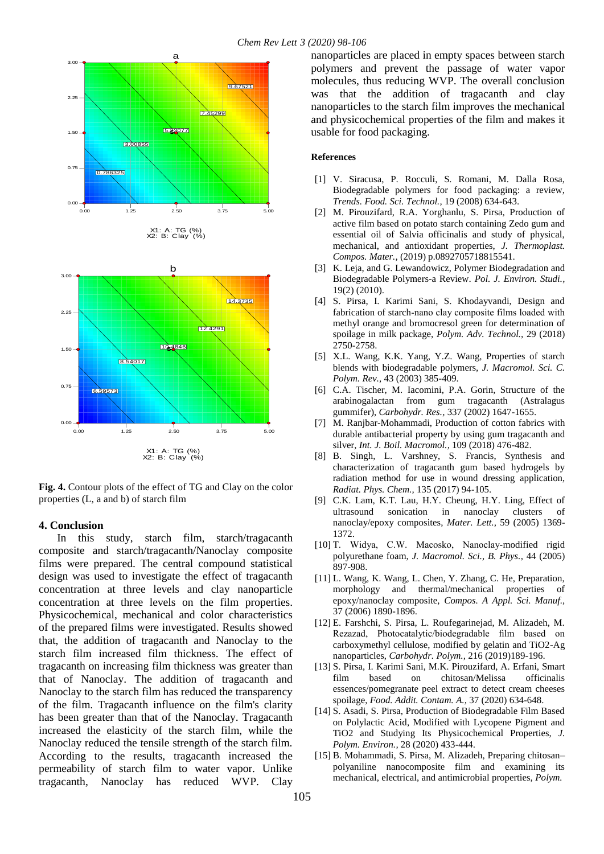

**Fig. 4.** Contour plots of the effect of TG and Clay on the color properties (L, a and b) of starch film

#### **4. Conclusion**

In this study, starch film, starch/tragacanth composite and starch/tragacanth/Nanoclay composite films were prepared. The central compound statistical design was used to investigate the effect of tragacanth concentration at three levels and clay nanoparticle concentration at three levels on the film properties. Physicochemical, mechanical and color characteristics of the prepared films were investigated. Results showed that, the addition of tragacanth and Nanoclay to the starch film increased film thickness. The effect of tragacanth on increasing film thickness was greater than that of Nanoclay. The addition of tragacanth and Nanoclay to the starch film has reduced the transparency of the film. Tragacanth influence on the film's clarity has been greater than that of the Nanoclay. Tragacanth increased the elasticity of the starch film, while the Nanoclay reduced the tensile strength of the starch film. According to the results, tragacanth increased the permeability of starch film to water vapor. Unlike tragacanth, Nanoclay has reduced WVP. Clay

nanoparticles are placed in empty spaces between starch polymers and prevent the passage of water vapor molecules, thus reducing WVP. The overall conclusion was that the addition of tragacanth and clay nanoparticles to the starch film improves the mechanical and physicochemical properties of the film and makes it usable for food packaging.

#### **References**

- [1] V. Siracusa, P. Rocculi, S. Romani, M. Dalla Rosa, Biodegradable polymers for food packaging: a review, *Trends. Food. Sci. Technol.,* 19 (2008) 634-643.
- [2] M. Pirouzifard, R.A. Yorghanlu, S. Pirsa, Production of active film based on potato starch containing Zedo gum and essential oil of Salvia officinalis and study of physical, mechanical, and antioxidant properties, *J. Thermoplast. Compos. Mater.,* (2019) p.0892705718815541.
- [3] K. Leja, and G. Lewandowicz, Polymer Biodegradation and Biodegradable Polymers-a Review. *Pol. J. Environ. Studi.,* 19(2) (2010).
- [4] S. Pirsa, I. Karimi Sani, S. Khodayvandi, Design and fabrication of starch-nano clay composite films loaded with methyl orange and bromocresol green for determination of spoilage in milk package, *Polym. Adv. Technol.,* 29 (2018) 2750-2758.
- [5] X.L. Wang, K.K. Yang, Y.Z. Wang, Properties of starch blends with biodegradable polymers, *J. Macromol. Sci. C. Polym. Rev.,* 43 (2003) 385-409.
- [6] C.A. Tischer, M. Iacomini, P.A. Gorin, Structure of the arabinogalactan from gum tragacanth (Astralagus gummifer), *Carbohydr. Res.,* 337 (2002) 1647-1655.
- [7] M. Ranjbar-Mohammadi, Production of cotton fabrics with durable antibacterial property by using gum tragacanth and silver, *Int. J. Boil. Macromol.,* 109 (2018) 476-482.
- [8] B. Singh, L. Varshney, S. Francis, Synthesis and characterization of tragacanth gum based hydrogels by radiation method for use in wound dressing application, *Radiat. Phys. Chem.,* 135 (2017) 94-105.
- [9] C.K. Lam, K.T. Lau, H.Y. Cheung, H.Y. Ling, Effect of ultrasound sonication in nanoclay clusters of nanoclay/epoxy composites, *Mater. Lett.,* 59 (2005) 1369- 1372.
- [10] T. Widya, C.W. Macosko, Nanoclay‐modified rigid polyurethane foam, *J. Macromol. Sci., B. Phys.,* 44 (2005) 897-908.
- [11] L. Wang, K. Wang, L. Chen, Y. Zhang, C. He, Preparation, morphology and thermal/mechanical properties of epoxy/nanoclay composite, *Compos. A Appl. Sci. Manuf.,* 37 (2006) 1890-1896.
- [12] E. Farshchi, S. Pirsa, L. Roufegarinejad, M. Alizadeh, M. Rezazad, Photocatalytic/biodegradable film based on carboxymethyl cellulose, modified by gelatin and TiO2-Ag nanoparticles, *Carbohydr. Polym.,* 216 (2019)189-196.
- [13] S. Pirsa, I. Karimi Sani, M.K. Pirouzifard, A. Erfani, Smart film based on chitosan/Melissa officinalis essences/pomegranate peel extract to detect cream cheeses spoilage, *Food. Addit. Contam. A.,* 37 (2020) 634-648.
- [14] S. Asadi, S. Pirsa, Production of Biodegradable Film Based on Polylactic Acid, Modified with Lycopene Pigment and TiO2 and Studying Its Physicochemical Properties, *J. Polym. Environ.,* 28 (2020) 433-444.
- [15] B. Mohammadi, S. Pirsa, M. Alizadeh, Preparing chitosan– polyaniline nanocomposite film and examining its mechanical, electrical, and antimicrobial properties, *Polym.*